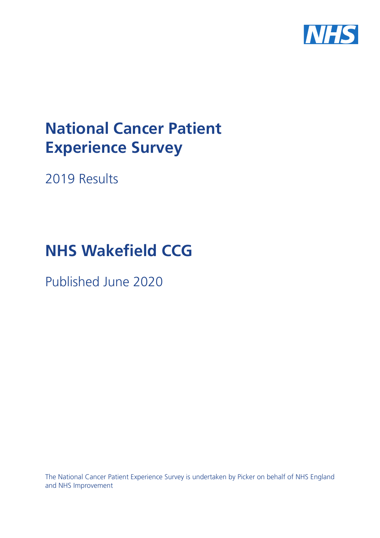

# **National Cancer Patient Experience Survey**

2019 Results

# **NHS** Wakefield CCG

Published June 2020

The National Cancer Patient Experience Survey is undertaken by Picker on behalf of NHS England and NHS Improvement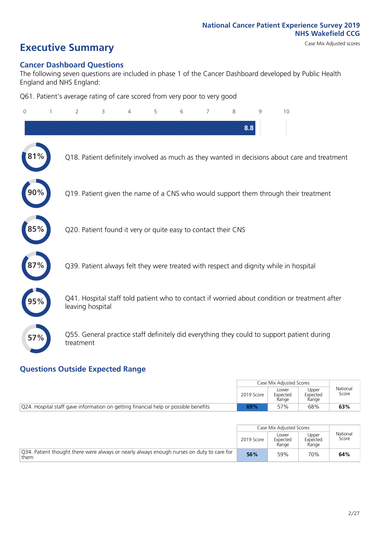# **Executive Summary** Case Mix Adjusted scores

#### **Cancer Dashboard Questions**

The following seven questions are included in phase 1 of the Cancer Dashboard developed by Public Health England and NHS England:

Q61. Patient's average rating of care scored from very poor to very good

| $\Omega$ | $\overline{2}$   | 3                                                             | 5 | 6 | 7 | 8   | 9 | 10                                                                                            |
|----------|------------------|---------------------------------------------------------------|---|---|---|-----|---|-----------------------------------------------------------------------------------------------|
|          |                  |                                                               |   |   |   | 8.8 |   |                                                                                               |
|          |                  |                                                               |   |   |   |     |   | Q18. Patient definitely involved as much as they wanted in decisions about care and treatment |
|          |                  |                                                               |   |   |   |     |   | Q19. Patient given the name of a CNS who would support them through their treatment           |
| 85%      |                  | Q20. Patient found it very or quite easy to contact their CNS |   |   |   |     |   |                                                                                               |
|          |                  |                                                               |   |   |   |     |   | Q39. Patient always felt they were treated with respect and dignity while in hospital         |
|          | leaving hospital |                                                               |   |   |   |     |   | Q41. Hospital staff told patient who to contact if worried about condition or treatment after |
| 57%      | treatment        |                                                               |   |   |   |     |   | Q55. General practice staff definitely did everything they could to support patient during    |

#### **Questions Outside Expected Range**

|                                                                                     |            | Case Mix Adjusted Scores   |                            |                   |
|-------------------------------------------------------------------------------------|------------|----------------------------|----------------------------|-------------------|
|                                                                                     | 2019 Score | Lower<br>Expected<br>Range | Upper<br>Expected<br>Range | National<br>Score |
| Q24. Hospital staff gave information on getting financial help or possible benefits | 69%        | 57%                        | 68%                        | 63%               |

|                                                                                                   |            | Case Mix Adjusted Scores   |                            |                   |
|---------------------------------------------------------------------------------------------------|------------|----------------------------|----------------------------|-------------------|
|                                                                                                   | 2019 Score | Lower<br>Expected<br>Range | Upper<br>Expected<br>Range | National<br>Score |
| Q34. Patient thought there were always or nearly always enough nurses on duty to care for<br>them | 56%        | 59%                        | 70%                        | 64%               |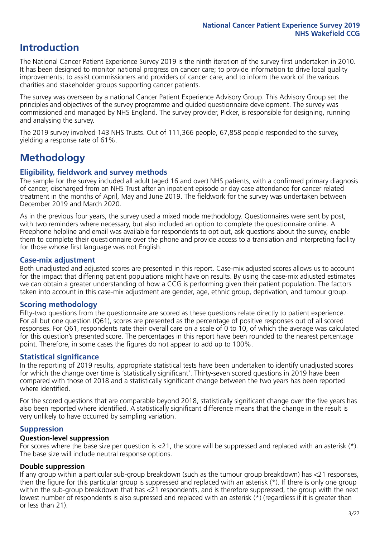## **Introduction**

The National Cancer Patient Experience Survey 2019 is the ninth iteration of the survey first undertaken in 2010. It has been designed to monitor national progress on cancer care; to provide information to drive local quality improvements; to assist commissioners and providers of cancer care; and to inform the work of the various charities and stakeholder groups supporting cancer patients.

The survey was overseen by a national Cancer Patient Experience Advisory Group. This Advisory Group set the principles and objectives of the survey programme and guided questionnaire development. The survey was commissioned and managed by NHS England. The survey provider, Picker, is responsible for designing, running and analysing the survey.

The 2019 survey involved 143 NHS Trusts. Out of 111,366 people, 67,858 people responded to the survey, yielding a response rate of 61%.

# **Methodology**

#### **Eligibility, fieldwork and survey methods**

The sample for the survey included all adult (aged 16 and over) NHS patients, with a confirmed primary diagnosis of cancer, discharged from an NHS Trust after an inpatient episode or day case attendance for cancer related treatment in the months of April, May and June 2019. The fieldwork for the survey was undertaken between December 2019 and March 2020.

As in the previous four years, the survey used a mixed mode methodology. Questionnaires were sent by post, with two reminders where necessary, but also included an option to complete the questionnaire online. A Freephone helpline and email was available for respondents to opt out, ask questions about the survey, enable them to complete their questionnaire over the phone and provide access to a translation and interpreting facility for those whose first language was not English.

#### **Case-mix adjustment**

Both unadjusted and adjusted scores are presented in this report. Case-mix adjusted scores allows us to account for the impact that differing patient populations might have on results. By using the case-mix adjusted estimates we can obtain a greater understanding of how a CCG is performing given their patient population. The factors taken into account in this case-mix adjustment are gender, age, ethnic group, deprivation, and tumour group.

#### **Scoring methodology**

Fifty-two questions from the questionnaire are scored as these questions relate directly to patient experience. For all but one question (Q61), scores are presented as the percentage of positive responses out of all scored responses. For Q61, respondents rate their overall care on a scale of 0 to 10, of which the average was calculated for this question's presented score. The percentages in this report have been rounded to the nearest percentage point. Therefore, in some cases the figures do not appear to add up to 100%.

#### **Statistical significance**

In the reporting of 2019 results, appropriate statistical tests have been undertaken to identify unadjusted scores for which the change over time is 'statistically significant'. Thirty-seven scored questions in 2019 have been compared with those of 2018 and a statistically significant change between the two years has been reported where identified.

For the scored questions that are comparable beyond 2018, statistically significant change over the five years has also been reported where identified. A statistically significant difference means that the change in the result is very unlikely to have occurred by sampling variation.

#### **Suppression**

#### **Question-level suppression**

For scores where the base size per question is  $<$ 21, the score will be suppressed and replaced with an asterisk (\*). The base size will include neutral response options.

#### **Double suppression**

If any group within a particular sub-group breakdown (such as the tumour group breakdown) has <21 responses, then the figure for this particular group is suppressed and replaced with an asterisk (\*). If there is only one group within the sub-group breakdown that has <21 respondents, and is therefore suppressed, the group with the next lowest number of respondents is also supressed and replaced with an asterisk (\*) (regardless if it is greater than or less than 21).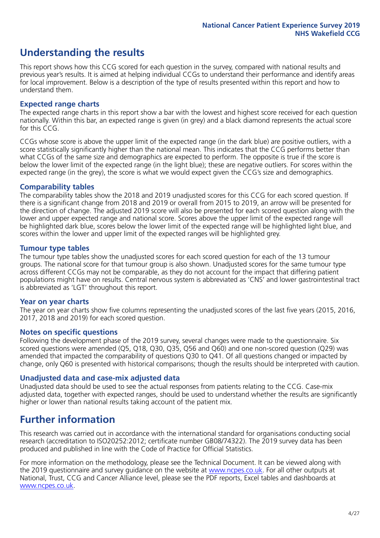# **Understanding the results**

This report shows how this CCG scored for each question in the survey, compared with national results and previous year's results. It is aimed at helping individual CCGs to understand their performance and identify areas for local improvement. Below is a description of the type of results presented within this report and how to understand them.

#### **Expected range charts**

The expected range charts in this report show a bar with the lowest and highest score received for each question nationally. Within this bar, an expected range is given (in grey) and a black diamond represents the actual score for this CCG.

CCGs whose score is above the upper limit of the expected range (in the dark blue) are positive outliers, with a score statistically significantly higher than the national mean. This indicates that the CCG performs better than what CCGs of the same size and demographics are expected to perform. The opposite is true if the score is below the lower limit of the expected range (in the light blue); these are negative outliers. For scores within the expected range (in the grey), the score is what we would expect given the CCG's size and demographics.

#### **Comparability tables**

The comparability tables show the 2018 and 2019 unadjusted scores for this CCG for each scored question. If there is a significant change from 2018 and 2019 or overall from 2015 to 2019, an arrow will be presented for the direction of change. The adjusted 2019 score will also be presented for each scored question along with the lower and upper expected range and national score. Scores above the upper limit of the expected range will be highlighted dark blue, scores below the lower limit of the expected range will be highlighted light blue, and scores within the lower and upper limit of the expected ranges will be highlighted grey.

#### **Tumour type tables**

The tumour type tables show the unadjusted scores for each scored question for each of the 13 tumour groups. The national score for that tumour group is also shown. Unadjusted scores for the same tumour type across different CCGs may not be comparable, as they do not account for the impact that differing patient populations might have on results. Central nervous system is abbreviated as 'CNS' and lower gastrointestinal tract is abbreviated as 'LGT' throughout this report.

#### **Year on year charts**

The year on year charts show five columns representing the unadjusted scores of the last five years (2015, 2016, 2017, 2018 and 2019) for each scored question.

#### **Notes on specific questions**

Following the development phase of the 2019 survey, several changes were made to the questionnaire. Six scored questions were amended (Q5, Q18, Q30, Q35, Q56 and Q60) and one non-scored question (Q29) was amended that impacted the comparability of questions Q30 to Q41. Of all questions changed or impacted by change, only Q60 is presented with historical comparisons; though the results should be interpreted with caution.

#### **Unadjusted data and case-mix adjusted data**

Unadjusted data should be used to see the actual responses from patients relating to the CCG. Case-mix adjusted data, together with expected ranges, should be used to understand whether the results are significantly higher or lower than national results taking account of the patient mix.

### **Further information**

This research was carried out in accordance with the international standard for organisations conducting social research (accreditation to ISO20252:2012; certificate number GB08/74322). The 2019 survey data has been produced and published in line with the Code of Practice for Official Statistics.

For more information on the methodology, please see the Technical Document. It can be viewed along with the 2019 questionnaire and survey quidance on the website at [www.ncpes.co.uk](https://www.ncpes.co.uk/supporting-documents). For all other outputs at National, Trust, CCG and Cancer Alliance level, please see the PDF reports, Excel tables and dashboards at [www.ncpes.co.uk.](https://www.ncpes.co.uk/current-results)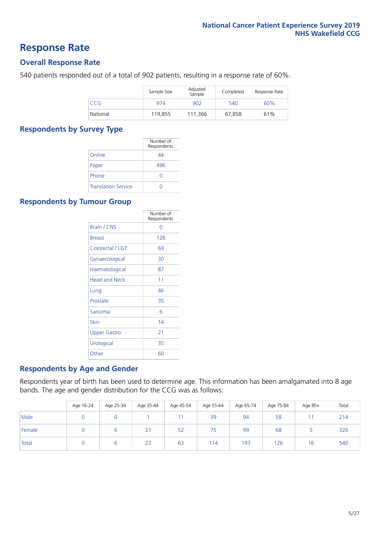### **Response Rate**

#### **Overall Response Rate**

540 patients responded out of a total of 902 patients, resulting in a response rate of 60%.

|          | Sample Size | Adjusted<br>Sample | Completed | Response Rate |
|----------|-------------|--------------------|-----------|---------------|
| CCG      | 974         | 902                | 540       | 60%           |
| National | 119,855     | 111.366            | 67,858    | 61%           |

#### **Respondents by Survey Type**

|                            | Number of<br>Respondents |
|----------------------------|--------------------------|
| Online                     | 44                       |
| Paper                      | 496                      |
| Phone                      |                          |
| <b>Translation Service</b> |                          |

#### **Respondents by Tumour Group**

|                      | Number of<br>Respondents |
|----------------------|--------------------------|
| <b>Brain / CNS</b>   | ∩                        |
| <b>Breast</b>        | 126                      |
| Colorectal / LGT     | 69                       |
| Gynaecological       | 30                       |
| Haematological       | 87                       |
| <b>Head and Neck</b> | 11                       |
| Lung                 | 46                       |
| Prostate             | 35                       |
| Sarcoma              | հ                        |
| Skin                 | 14                       |
| Upper Gastro         | 21                       |
| Urological           | 35                       |
| Other                | 60                       |

#### **Respondents by Age and Gender**

Respondents year of birth has been used to determine age. This information has been amalgamated into 8 age bands. The age and gender distribution for the CCG was as follows:

|        | Age 16-24 | Age 25-34 | Age 35-44 | Age 45-54 | Age 55-64 | Age 65-74 | Age 75-84 | Age 85+ | Total |
|--------|-----------|-----------|-----------|-----------|-----------|-----------|-----------|---------|-------|
| Male   |           |           |           |           | 39        | 94        | 58        |         | 214   |
| Female |           |           | 21        | 52        | 75        | 99        | 68        |         | 326   |
| Total  |           | ь         | 22        | 63        | 114       | 193       | 126       | 16      | 540   |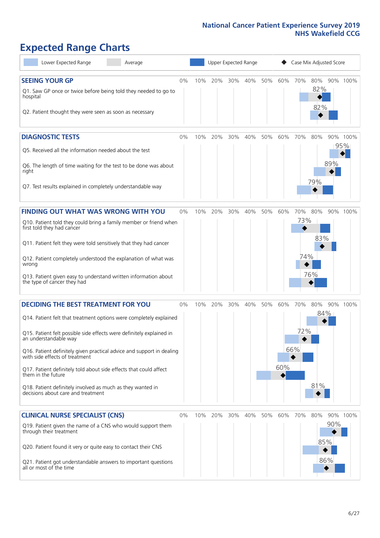# **Expected Range Charts**

| Lower Expected Range<br>Average                                                                                                                                                                                                                                                                                                                                                                                                                                                                                             |    |     | Upper Expected Range |     |         |     |            |                   | Case Mix Adjusted Score |                   |                 |
|-----------------------------------------------------------------------------------------------------------------------------------------------------------------------------------------------------------------------------------------------------------------------------------------------------------------------------------------------------------------------------------------------------------------------------------------------------------------------------------------------------------------------------|----|-----|----------------------|-----|---------|-----|------------|-------------------|-------------------------|-------------------|-----------------|
| <b>SEEING YOUR GP</b><br>Q1. Saw GP once or twice before being told they needed to go to<br>hospital<br>Q2. Patient thought they were seen as soon as necessary                                                                                                                                                                                                                                                                                                                                                             | 0% | 10% | 20%                  | 30% | 40%     | 50% | 60%        | 70%               | 80%<br>82%<br>82%       |                   | 90% 100%        |
| <b>DIAGNOSTIC TESTS</b><br>Q5. Received all the information needed about the test<br>Q6. The length of time waiting for the test to be done was about<br>right<br>Q7. Test results explained in completely understandable way                                                                                                                                                                                                                                                                                               | 0% | 10% | 20%                  |     | 30% 40% | 50% | 60%        | 70%               | 80%<br>79%              | 89%               | 90% 100%<br>95% |
| <b>FINDING OUT WHAT WAS WRONG WITH YOU</b><br>Q10. Patient told they could bring a family member or friend when<br>first told they had cancer<br>Q11. Patient felt they were told sensitively that they had cancer<br>Q12. Patient completely understood the explanation of what was<br>wrong<br>Q13. Patient given easy to understand written information about<br>the type of cancer they had                                                                                                                             | 0% | 10% | 20%                  | 30% | 40%     | 50% | 60%        | 70%<br>73%<br>74% | 80%<br>83%<br>76%       |                   | 90% 100%        |
| <b>DECIDING THE BEST TREATMENT FOR YOU</b><br>Q14. Patient felt that treatment options were completely explained<br>Q15. Patient felt possible side effects were definitely explained in<br>an understandable way<br>Q16. Patient definitely given practical advice and support in dealing<br>with side effects of treatment<br>Q17. Patient definitely told about side effects that could affect<br>them in the future<br>Q18. Patient definitely involved as much as they wanted in<br>decisions about care and treatment | 0% | 10% | 20%                  | 30% | 40%     | 50% | 60%<br>60% | 70%<br>72%<br>66% | 80%<br>$84\%$<br>81%    |                   | 90% 100%        |
| <b>CLINICAL NURSE SPECIALIST (CNS)</b><br>Q19. Patient given the name of a CNS who would support them<br>through their treatment<br>Q20. Patient found it very or quite easy to contact their CNS<br>Q21. Patient got understandable answers to important questions<br>all or most of the time                                                                                                                                                                                                                              | 0% | 10% | 20%                  | 30% | 40%     | 50% | 60%        | 70%               | 80%                     | 90%<br>85%<br>86% | 90% 100%        |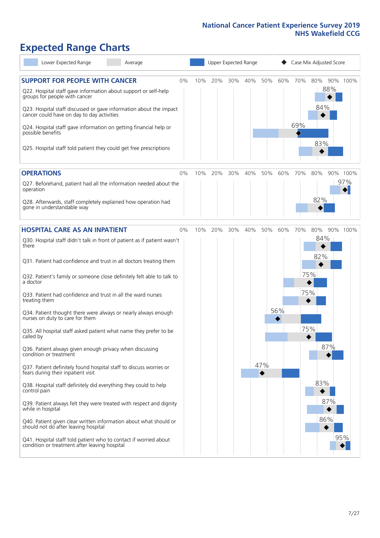# **Expected Range Charts**

| Lower Expected Range<br>Average                                                                                                                                                       |    |     |     | Upper Expected Range |     |     |     | Case Mix Adjusted Score |                   |                         |  |  |
|---------------------------------------------------------------------------------------------------------------------------------------------------------------------------------------|----|-----|-----|----------------------|-----|-----|-----|-------------------------|-------------------|-------------------------|--|--|
| <b>SUPPORT FOR PEOPLE WITH CANCER</b><br>Q22. Hospital staff gave information about support or self-help<br>groups for people with cancer                                             | 0% | 10% | 20% | 30%                  | 40% | 50% |     | 60% 70%                 | 80%<br>88%<br>84% | 90% 100%                |  |  |
| Q23. Hospital staff discussed or gave information about the impact<br>cancer could have on day to day activities<br>Q24. Hospital staff gave information on getting financial help or |    |     |     |                      |     |     |     | 69%                     |                   |                         |  |  |
| possible benefits<br>Q25. Hospital staff told patient they could get free prescriptions                                                                                               |    |     |     |                      |     |     |     |                         | 83%               |                         |  |  |
| <b>OPERATIONS</b>                                                                                                                                                                     | 0% | 10% | 20% | 30%                  | 40% | 50% | 60% | 70%                     | 80%               | 90% 100%                |  |  |
| Q27. Beforehand, patient had all the information needed about the<br>operation                                                                                                        |    |     |     |                      |     |     |     |                         |                   | 97%<br>$\blacktriangle$ |  |  |
| Q28. Afterwards, staff completely explained how operation had<br>gone in understandable way                                                                                           |    |     |     |                      |     |     |     |                         | 82%               |                         |  |  |
| <b>HOSPITAL CARE AS AN INPATIENT</b>                                                                                                                                                  | 0% | 10% | 20% | 30%                  | 40% | 50% | 60% | 70%                     | 80%               | 90% 100%                |  |  |
| Q30. Hospital staff didn't talk in front of patient as if patient wasn't<br>there                                                                                                     |    |     |     |                      |     |     |     |                         | 84%               |                         |  |  |
| Q31. Patient had confidence and trust in all doctors treating them                                                                                                                    |    |     |     |                      |     |     |     |                         | 82%               |                         |  |  |
| Q32. Patient's family or someone close definitely felt able to talk to<br>a doctor                                                                                                    |    |     |     |                      |     |     |     |                         | 75%               |                         |  |  |
| Q33. Patient had confidence and trust in all the ward nurses<br>treating them                                                                                                         |    |     |     |                      |     |     |     | 75%                     |                   |                         |  |  |
| Q34. Patient thought there were always or nearly always enough<br>nurses on duty to care for them                                                                                     |    |     |     |                      |     |     | 56% |                         |                   |                         |  |  |
| Q35. All hospital staff asked patient what name they prefer to be<br>called by                                                                                                        |    |     |     |                      |     |     |     | 75%                     |                   |                         |  |  |
| Q36. Patient always given enough privacy when discussing<br>condition or treatment                                                                                                    |    |     |     |                      |     |     |     |                         | 87%               |                         |  |  |
| Q37. Patient definitely found hospital staff to discuss worries or<br>fears during their inpatient visit                                                                              |    |     |     |                      |     | 47% |     |                         |                   |                         |  |  |
| Q38. Hospital staff definitely did everything they could to help<br>control pain                                                                                                      |    |     |     |                      |     |     |     |                         | 83%               |                         |  |  |
| Q39. Patient always felt they were treated with respect and dignity<br>while in hospital                                                                                              |    |     |     |                      |     |     |     |                         | 87%               |                         |  |  |
| Q40. Patient given clear written information about what should or<br>should not do after leaving hospital                                                                             |    |     |     |                      |     |     |     |                         | 86%               |                         |  |  |
| Q41. Hospital staff told patient who to contact if worried about<br>condition or treatment after leaving hospital                                                                     |    |     |     |                      |     |     |     |                         |                   | 95%                     |  |  |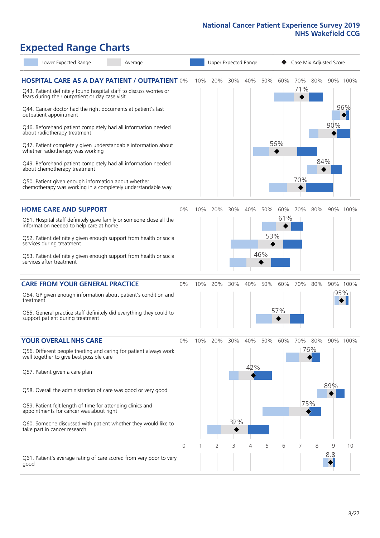# **Expected Range Charts**

| Lower Expected Range<br>Average                                                                                                                                                                                                                                                                                                                                                                                                                                                                                                                                                                                                                                                                        |       |     |     |            | Upper Expected Range |                   |            | Case Mix Adjusted Score |                   |          |                 |
|--------------------------------------------------------------------------------------------------------------------------------------------------------------------------------------------------------------------------------------------------------------------------------------------------------------------------------------------------------------------------------------------------------------------------------------------------------------------------------------------------------------------------------------------------------------------------------------------------------------------------------------------------------------------------------------------------------|-------|-----|-----|------------|----------------------|-------------------|------------|-------------------------|-------------------|----------|-----------------|
| <b>HOSPITAL CARE AS A DAY PATIENT / OUTPATIENT 0%</b><br>Q43. Patient definitely found hospital staff to discuss worries or<br>fears during their outpatient or day case visit<br>Q44. Cancer doctor had the right documents at patient's last<br>outpatient appointment<br>Q46. Beforehand patient completely had all information needed<br>about radiotherapy treatment<br>Q47. Patient completely given understandable information about<br>whether radiotherapy was working<br>Q49. Beforehand patient completely had all information needed<br>about chemotherapy treatment<br>Q50. Patient given enough information about whether<br>chemotherapy was working in a completely understandable way |       | 10% | 20% | 30%        | 40%                  | 50%               | 60%<br>56% | 70%<br>71%<br>70%       | 80%<br>84%        | 90%      | 90% 100%<br>96% |
| <b>HOME CARE AND SUPPORT</b><br>Q51. Hospital staff definitely gave family or someone close all the<br>information needed to help care at home<br>Q52. Patient definitely given enough support from health or social<br>services during treatment<br>Q53. Patient definitely given enough support from health or social<br>services after treatment                                                                                                                                                                                                                                                                                                                                                    | 0%    | 10% | 20% | 30%        | 40%                  | 50%<br>53%<br>46% | 60%<br>61% | 70%                     | 80%               |          | 90% 100%        |
| <b>CARE FROM YOUR GENERAL PRACTICE</b><br>Q54. GP given enough information about patient's condition and<br>treatment<br>Q55. General practice staff definitely did everything they could to<br>support patient during treatment                                                                                                                                                                                                                                                                                                                                                                                                                                                                       | 0%    | 10% | 20% | 30%        | 40%                  | 50%               | 60%<br>57% | 70%                     | 80%               | 95%      | 90% 100%        |
| <b>YOUR OVERALL NHS CARE</b><br>Q56. Different people treating and caring for patient always work<br>well together to give best possible care<br>Q57. Patient given a care plan<br>Q58. Overall the administration of care was good or very good<br>Q59. Patient felt length of time for attending clinics and<br>appointments for cancer was about right<br>Q60. Someone discussed with patient whether they would like to<br>take part in cancer research                                                                                                                                                                                                                                            | $0\%$ | 10% | 20% | 30%<br>32% | 40%<br>42%           | 50%               | 60%        | 70%                     | 80%<br>76%<br>75% | 89%      | 90% 100%        |
| Q61. Patient's average rating of care scored from very poor to very<br>good                                                                                                                                                                                                                                                                                                                                                                                                                                                                                                                                                                                                                            | 0     |     | 2   | 3          | 4                    | 5                 | 6          | 7                       | 8                 | 9<br>8.8 | 10              |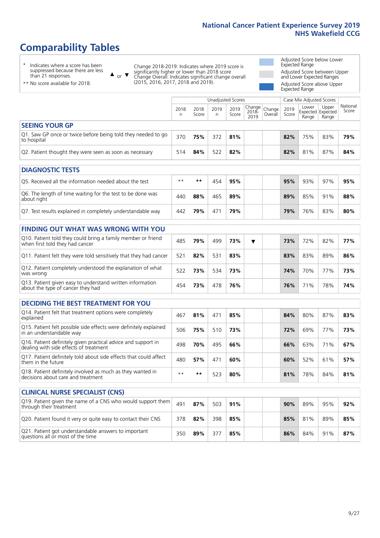# **Comparability Tables**

\* Indicates where a score has been suppressed because there are less than 21 responses.

\*\* No score available for 2018.

 $\triangle$  or  $\nabla$ 

Change 2018-2019: Indicates where 2019 score is significantly higher or lower than 2018 score Change Overall: Indicates significant change overall (2015, 2016, 2017, 2018 and 2019).

Adjusted Score below Lower Expected Range Adjusted Score between Upper and Lower Expected Ranges Adjusted Score above Upper

Expected Range

|                                                                             |           |               | Unadjusted Scores |               |                                                    |         |               | Case Mix Adjusted Scores            |                |                   |
|-----------------------------------------------------------------------------|-----------|---------------|-------------------|---------------|----------------------------------------------------|---------|---------------|-------------------------------------|----------------|-------------------|
|                                                                             | 2018<br>n | 2018<br>Score | 2019<br>n         | 2019<br>Score | $\sqrt{(\text{Change})^2}$ Change<br>2018-<br>2019 | Overall | 2019<br>Score | Lower<br>Expected Expected<br>Range | Upper<br>Range | National<br>Score |
| <b>SEEING YOUR GP</b>                                                       |           |               |                   |               |                                                    |         |               |                                     |                |                   |
| Q1. Saw GP once or twice before being told they needed to go<br>to hospital | 370       | 75%           | 372               | 81%           |                                                    |         | 82%           | 75%                                 | 83%            | 79%               |
| Q2. Patient thought they were seen as soon as necessary                     | 514       | 84%           | 522               | 82%           |                                                    |         | 82%           | 81%                                 | 87%            | 84%               |
| <b>DIAGNOSTIC TESTS</b>                                                     |           |               |                   |               |                                                    |         |               |                                     |                |                   |

| O5. Received all the information needed about the test                    | $**$ | **  |     | 95% | 95% | 93% | 97% | 95% |
|---------------------------------------------------------------------------|------|-----|-----|-----|-----|-----|-----|-----|
| Q6. The length of time waiting for the test to be done was<br>about right | 440  | 88% | 465 | 89% | 89% | 85% | 91% | 88% |
| Q7. Test results explained in completely understandable way               | 442  | 79% | 47. | 79% | 79% | 76% | 83% | 80% |

| <b>FINDING OUT WHAT WAS WRONG WITH YOU</b>                                                      |     |     |     |     |  |     |     |     |     |
|-------------------------------------------------------------------------------------------------|-----|-----|-----|-----|--|-----|-----|-----|-----|
| Q10. Patient told they could bring a family member or friend<br>when first told they had cancer | 485 | 79% | 499 | 73% |  | 73% | 72% | 82% | 77% |
| Q11. Patient felt they were told sensitively that they had cancer                               | 521 | 82% | 531 | 83% |  | 83% | 83% | 89% | 86% |
| Q12. Patient completely understood the explanation of what<br>was wrong                         | 522 | 73% | 534 | 73% |  | 74% | 70% | 77% | 73% |
| Q13. Patient given easy to understand written information<br>about the type of cancer they had  | 454 | 73% | 478 | 76% |  | 76% | 71% | 78% | 74% |

| <b>DECIDING THE BEST TREATMENT FOR YOU</b>                                                              |      |     |     |     |  |     |     |     |     |
|---------------------------------------------------------------------------------------------------------|------|-----|-----|-----|--|-----|-----|-----|-----|
| Q14. Patient felt that treatment options were completely<br>explained                                   | 467  | 81% | 471 | 85% |  | 84% | 80% | 87% | 83% |
| Q15. Patient felt possible side effects were definitely explained<br>in an understandable way           | 506  | 75% | 510 | 73% |  | 72% | 69% | 77% | 73% |
| Q16. Patient definitely given practical advice and support in<br>dealing with side effects of treatment | 498  | 70% | 495 | 66% |  | 66% | 63% | 71% | 67% |
| Q17. Patient definitely told about side effects that could affect<br>them in the future                 | 480  | 57% | 471 | 60% |  | 60% | 52% | 61% | 57% |
| Q18. Patient definitely involved as much as they wanted in<br>decisions about care and treatment        | $**$ | **  | 523 | 80% |  | 81% | 78% | 84% | 81% |

| <b>CLINICAL NURSE SPECIALIST (CNS)</b>                                                    |     |     |     |     |  |     |     |     |     |
|-------------------------------------------------------------------------------------------|-----|-----|-----|-----|--|-----|-----|-----|-----|
| Q19. Patient given the name of a CNS who would support them<br>through their treatment    | 491 | 87% | 503 | 91% |  | 90% | 89% | 95% | 92% |
| Q20. Patient found it very or quite easy to contact their CNS                             | 378 | 82% | 398 | 85% |  | 85% | 81% | 89% | 85% |
| Q21. Patient got understandable answers to important<br>questions all or most of the time | 350 | 89% | 377 | 85% |  | 86% | 84% | 91% | 87% |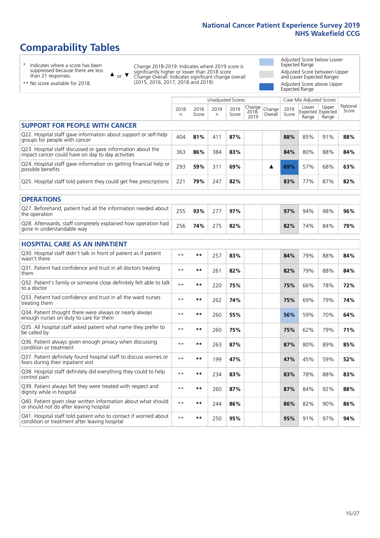# **Comparability Tables**

\* Indicates where a score has been suppressed because there are less than 21 responses.

\*\* No score available for 2018.

 $\triangle$  or  $\nabla$ 

Change 2018-2019: Indicates where 2019 score is significantly higher or lower than 2018 score Change Overall: Indicates significant change overall (2015, 2016, 2017, 2018 and 2019).

Adjusted Score below Lower Expected Range Adjusted Score between Upper and Lower Expected Ranges Adjusted Score above Upper Expected Range

|                                                                                                                   |              |               |            | <b>Unadjusted Scores</b> |                         |                   |               | Case Mix Adjusted Scores            |                |                   |
|-------------------------------------------------------------------------------------------------------------------|--------------|---------------|------------|--------------------------|-------------------------|-------------------|---------------|-------------------------------------|----------------|-------------------|
|                                                                                                                   | 2018<br>n    | 2018<br>Score | 2019<br>n. | 2019<br>Score            | Change<br>2018-<br>2019 | Change<br>Overall | 2019<br>Score | Lower<br>Expected Expected<br>Range | Upper<br>Range | National<br>Score |
| <b>SUPPORT FOR PEOPLE WITH CANCER</b>                                                                             |              |               |            |                          |                         |                   |               |                                     |                |                   |
| Q22. Hospital staff gave information about support or self-help<br>groups for people with cancer                  | 404          | 81%           | 411        | 87%                      |                         |                   | 88%           | 85%                                 | 91%            | 88%               |
| Q23. Hospital staff discussed or gave information about the<br>impact cancer could have on day to day activities  | 363          | 86%           | 384        | 83%                      |                         |                   | 84%           | 80%                                 | 88%            | 84%               |
| Q24. Hospital staff gave information on getting financial help or<br>possible benefits                            | 293          | 59%           | 311        | 69%                      |                         | ▲                 | 69%           | 57%                                 | 68%            | 63%               |
| Q25. Hospital staff told patient they could get free prescriptions                                                | 221          | 79%           | 247        | 82%                      |                         |                   | 83%           | 77%                                 | 87%            | 82%               |
| <b>OPERATIONS</b>                                                                                                 |              |               |            |                          |                         |                   |               |                                     |                |                   |
| Q27. Beforehand, patient had all the information needed about<br>the operation                                    | 255          | 93%           | 277        | 97%                      |                         |                   | 97%           | 94%                                 | 98%            | 96%               |
| Q28. Afterwards, staff completely explained how operation had<br>gone in understandable way                       | 256          | 74%           | 275        | 82%                      |                         |                   | 82%           | 74%                                 | 84%            | 79%               |
| <b>HOSPITAL CARE AS AN INPATIENT</b>                                                                              |              |               |            |                          |                         |                   |               |                                     |                |                   |
| Q30. Hospital staff didn't talk in front of patient as if patient<br>wasn't there                                 | $**$         | **            | 257        | 83%                      |                         |                   | 84%           | 79%                                 | 88%            | 84%               |
| Q31. Patient had confidence and trust in all doctors treating<br>them                                             | $\star\star$ | **            | 261        | 82%                      |                         |                   | 82%           | 79%                                 | 88%            | 84%               |
| Q32. Patient's family or someone close definitely felt able to talk<br>to a doctor                                | $* *$        | **            | 220        | 75%                      |                         |                   | 75%           | 66%                                 | 78%            | 72%               |
| Q33. Patient had confidence and trust in all the ward nurses<br>treating them                                     | $\star\star$ | **            | 262        | 74%                      |                         |                   | 75%           | 69%                                 | 79%            | 74%               |
| Q34. Patient thought there were always or nearly always<br>enough nurses on duty to care for them                 | $* *$        | **            | 260        | 55%                      |                         |                   | 56%           | 59%                                 | 70%            | 64%               |
| Q35. All hospital staff asked patient what name they prefer to<br>be called by                                    | $**$         | **            | 260        | 75%                      |                         |                   | 75%           | 62%                                 | 79%            | 71%               |
| Q36. Patient always given enough privacy when discussing<br>condition or treatment                                | $* *$        | **            | 263        | 87%                      |                         |                   | 87%           | 80%                                 | 89%            | 85%               |
| Q37. Patient definitely found hospital staff to discuss worries or<br>fears during their inpatient visit          | $**$         | **            | 199        | 47%                      |                         |                   | 47%           | 45%                                 | 59%            | 52%               |
| Q38. Hospital staff definitely did everything they could to help<br>control pain                                  | $* *$        | $***$         | 234        | 83%                      |                         |                   | 83%           | 78%                                 | 88%            | 83%               |
| Q39. Patient always felt they were treated with respect and<br>dignity while in hospital                          | $\star\star$ | **            | 260        | 87%                      |                         |                   | 87%           | 84%                                 | 92%            | 88%               |
| Q40. Patient given clear written information about what should<br>or should not do after leaving hospital         | $**$         | **            | 244        | 86%                      |                         |                   | 86%           | 82%                                 | 90%            | 86%               |
| Q41. Hospital staff told patient who to contact if worried about<br>condition or treatment after leaving hospital | $\star\star$ | **            | 250        | 95%                      |                         |                   | 95%           | 91%                                 | 97%            | 94%               |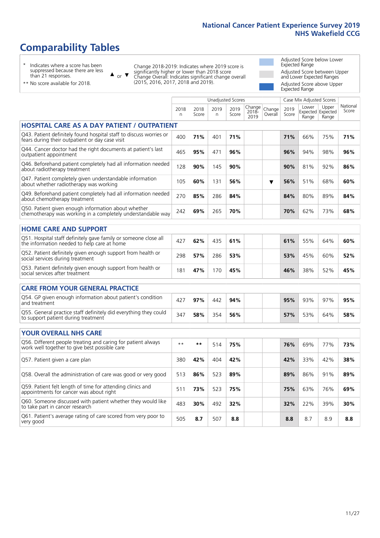# **Comparability Tables**

\* Indicates where a score has been suppressed because there are less than 21 responses.

\*\* No score available for 2018.

 $\triangle$  or  $\nabla$ 

Change 2018-2019: Indicates where 2019 score is significantly higher or lower than 2018 score Change Overall: Indicates significant change overall (2015, 2016, 2017, 2018 and 2019).

Adjusted Score below Lower Expected Range Adjusted Score between Upper and Lower Expected Ranges Adjusted Score above Upper Expected Range

|                                                                                                                       |           |               |            | <b>Unadjusted Scores</b> |                            |                   |               | Case Mix Adjusted Scores |                                     |                   |
|-----------------------------------------------------------------------------------------------------------------------|-----------|---------------|------------|--------------------------|----------------------------|-------------------|---------------|--------------------------|-------------------------------------|-------------------|
|                                                                                                                       | 2018<br>n | 2018<br>Score | 2019<br>n. | 2019<br>Score            | Change<br>$2018 -$<br>2019 | Change<br>Overall | 2019<br>Score | Lower<br>Range           | Upper<br>Expected Expected<br>Range | National<br>Score |
| <b>HOSPITAL CARE AS A DAY PATIENT / OUTPATIENT</b>                                                                    |           |               |            |                          |                            |                   |               |                          |                                     |                   |
| Q43. Patient definitely found hospital staff to discuss worries or<br>fears during their outpatient or day case visit | 400       | 71%           | 401        | 71%                      |                            |                   | 71%           | 66%                      | 75%                                 | 71%               |
| Q44. Cancer doctor had the right documents at patient's last<br>outpatient appointment                                | 465       | 95%           | 471        | 96%                      |                            |                   | 96%           | 94%                      | 98%                                 | 96%               |
| Q46. Beforehand patient completely had all information needed<br>about radiotherapy treatment                         | 128       | 90%           | 145        | 90%                      |                            |                   | 90%           | 81%                      | 92%                                 | 86%               |
| Q47. Patient completely given understandable information<br>about whether radiotherapy was working                    | 105       | 60%           | 131        | 56%                      |                            | ▼                 | 56%           | 51%                      | 68%                                 | 60%               |
| Q49. Beforehand patient completely had all information needed<br>about chemotherapy treatment                         | 270       | 85%           | 286        | 84%                      |                            |                   | 84%           | 80%                      | 89%                                 | 84%               |
| Q50. Patient given enough information about whether<br>chemotherapy was working in a completely understandable way    | 242       | 69%           | 265        | 70%                      |                            |                   | 70%           | 62%                      | 73%                                 | 68%               |
| <b>HOME CARE AND SUPPORT</b>                                                                                          |           |               |            |                          |                            |                   |               |                          |                                     |                   |
| Q51. Hospital staff definitely gave family or someone close all<br>the information needed to help care at home        | 427       | 62%           | 435        | 61%                      |                            |                   | 61%           | 55%                      | 64%                                 | 60%               |
| Q52. Patient definitely given enough support from health or<br>social services during treatment                       | 298       | 57%           | 286        | 53%                      |                            |                   | 53%           | 45%                      | 60%                                 | 52%               |
| Q53. Patient definitely given enough support from health or<br>social services after treatment                        | 181       | 47%           | 170        | 45%                      |                            |                   | 46%           | 38%                      | 52%                                 | 45%               |
| <b>CARE FROM YOUR GENERAL PRACTICE</b>                                                                                |           |               |            |                          |                            |                   |               |                          |                                     |                   |
| Q54. GP given enough information about patient's condition<br>and treatment                                           | 427       | 97%           | 442        | 94%                      |                            |                   | 95%           | 93%                      | 97%                                 | 95%               |
| Q55. General practice staff definitely did everything they could<br>to support patient during treatment               | 347       | 58%           | 354        | 56%                      |                            |                   | 57%           | 53%                      | 64%                                 | 58%               |
| <b>YOUR OVERALL NHS CARE</b>                                                                                          |           |               |            |                          |                            |                   |               |                          |                                     |                   |
| Q56. Different people treating and caring for patient always<br>work well together to give best possible care         | $* *$     | $***$         | 514        | 75%                      |                            |                   | 76%           | 69%                      | 77%                                 | 73%               |
| Q57. Patient given a care plan                                                                                        | 380       | 42%           | 404        | 42%                      |                            |                   | 42%           | 33%                      | 42%                                 | 38%               |
| Q58. Overall the administration of care was good or very good                                                         | 513       | 86%           | 523        | 89%                      |                            |                   | 89%           | 86%                      | 91%                                 | 89%               |
| Q59. Patient felt length of time for attending clinics and<br>appointments for cancer was about right                 | 511       | 73%           | 523        | 75%                      |                            |                   | 75%           | 63%                      | 76%                                 | 69%               |
| Q60. Someone discussed with patient whether they would like<br>to take part in cancer research                        | 483       | 30%           | 492        | 32%                      |                            |                   | 32%           | 22%                      | 39%                                 | 30%               |
| Q61. Patient's average rating of care scored from very poor to<br>very good                                           | 505       | 8.7           | 507        | 8.8                      |                            |                   | 8.8           | 8.7                      | 8.9                                 | 8.8               |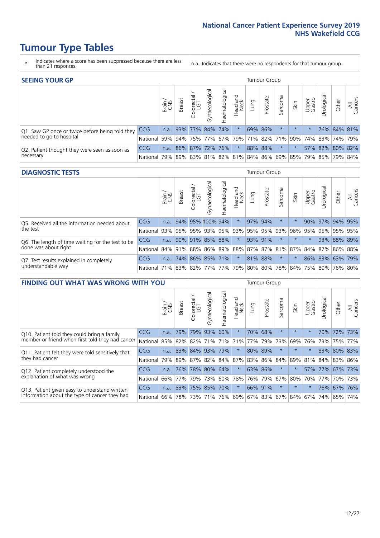- \* Indicates where a score has been suppressed because there are less than 21 responses.
- n.a. Indicates that there were no respondents for that tumour group.

| <b>SEEING YOUR GP</b>                           |                                                                  |               |                      |                  |                |                    |                  |      | Tumour Group |                                                 |         |                 |                 |             |                |
|-------------------------------------------------|------------------------------------------------------------------|---------------|----------------------|------------------|----------------|--------------------|------------------|------|--------------|-------------------------------------------------|---------|-----------------|-----------------|-------------|----------------|
|                                                 |                                                                  | Brain.<br>CNS | <b>Breast</b>        | olorectal<br>LGT | Gynaecological | ন্ত<br>Haematologi | Head and<br>Neck | Lung | Prostate     | Sarcoma                                         | Skin    | Upper<br>Gastro | Irological      | Other       | All<br>Cancers |
| Q1. Saw GP once or twice before being told they | <b>CCG</b>                                                       |               | n.a. 93% 77% 84% 74% |                  |                |                    | $\star$          |      | 69% 86%      |                                                 | $\star$ |                 |                 | 76% 84% 81% |                |
| needed to go to hospital                        | National 59% 94% 75% 77% 67% 79% 71% 82% 71% 90% 74% 83% 74% 79% |               |                      |                  |                |                    |                  |      |              |                                                 |         |                 |                 |             |                |
| Q2. Patient thought they were seen as soon as   | <b>CCG</b>                                                       | n.a.          |                      | 86% 87% 72% 76%  |                |                    | $\ast$           |      | 88% 88%      | $\star$                                         |         |                 | 57% 82% 80% 82% |             |                |
| necessary                                       | National I                                                       | 79%           |                      |                  |                |                    |                  |      |              | 89% 83% 81% 82% 81% 84% 86% 69% 85% 79% 85% 79% |         |                 |                 |             | 84%            |

#### **DIAGNOSTIC TESTS** Tumour Group

|                                                   |                                                                  | Brain | <b>Breast</b> | Colorectal<br>LGT | त्त<br>Gynaecologic | Haematological | Head and<br>Neck    | Lung    | Prostate | Sarcoma | Skin    | Upper<br>Gastro | rological                                               | Other | All<br>Cancers |
|---------------------------------------------------|------------------------------------------------------------------|-------|---------------|-------------------|---------------------|----------------|---------------------|---------|----------|---------|---------|-----------------|---------------------------------------------------------|-------|----------------|
| Q5. Received all the information needed about     | <b>CCG</b>                                                       | n.a.  |               |                   | 94% 95% 100% 94%    |                | $\star$             |         | 97% 94%  |         |         | 90%             | 97% 94% 95%                                             |       |                |
| the test                                          | National                                                         | 93%   |               | 95% 95%           |                     |                | 93% 95% 93% 95% 95% |         |          | 93%     | 96%     |                 | 95% 95% 95% 95%                                         |       |                |
| Q6. The length of time waiting for the test to be | <b>CCG</b>                                                       | n.a.  |               |                   | 90% 91% 85% 88%     |                | $\star$             | 93% 91% |          |         | $\star$ | $\star$         |                                                         |       | 93% 88% 89%    |
| done was about right                              | National l                                                       |       |               |                   |                     |                |                     |         |          |         |         |                 | 84% 91% 88% 86% 89% 88% 87% 87% 81% 87% 84% 87% 86% 88% |       |                |
| Q7. Test results explained in completely          | <b>CCG</b>                                                       | n.a.  |               |                   | 74% 86% 85% 71%     |                | $\star$             |         | 81% 88%  | $\star$ |         |                 | 86% 83% 63% 79%                                         |       |                |
| understandable way                                | National 71% 83% 82% 77% 77% 79% 80% 80% 78% 84% 75% 80% 76% 80% |       |               |                   |                     |                |                     |         |          |         |         |                 |                                                         |       |                |

|                                                   | <b>FINDING OUT WHAT WAS WRONG WITH YOU</b><br>olorectal.<br>LGT<br><b>Breast</b><br>Brain<br>$\cup$<br>79%<br>CCG<br>79%<br>n.a. |        |                         |         |                |                   |                  |             |          | <b>Tumour Group</b> |         |                 |            |             |                |
|---------------------------------------------------|----------------------------------------------------------------------------------------------------------------------------------|--------|-------------------------|---------|----------------|-------------------|------------------|-------------|----------|---------------------|---------|-----------------|------------|-------------|----------------|
|                                                   |                                                                                                                                  |        |                         |         | Gynaecological | aematologica<br>Ĩ | Head and<br>Neck | Lung        | Prostate | Sarcoma             | Skin    | Upper<br>Gastro | Urological | Other       | All<br>Cancers |
| Q10. Patient told they could bring a family       |                                                                                                                                  |        |                         |         | 93%            | 60%               | $\star$          | 70%         | 68%      | $\ast$              | $\star$ | $\star$         |            | 70% 72%     | 73%            |
| member or friend when first told they had cancer  | National                                                                                                                         | 85%    | 82% 82%                 |         | 71%            | 71%               | 71%              | 77%         | 79%      | 73%                 | 69%     | 76%             | 73%        | 75%         | 77%            |
| Q11. Patient felt they were told sensitively that | <b>CCG</b>                                                                                                                       | n.a.   |                         | 83% 84% | 93%            | 79%               | $\star$          | 80% 89%     |          | $\ast$              | $\star$ |                 |            | 83% 80% 83% |                |
| they had cancer                                   | National                                                                                                                         |        | 79% 89% 87% 82% 84% 87% |         |                |                   |                  | 83% 86% 84% |          |                     | 89%     | 81%             |            | 84% 83%     | 86%            |
| Q12. Patient completely understood the            | <b>CCG</b>                                                                                                                       | n.a.   | 76%                     | 78%     | 80%            | 64%               | $\star$          | 63% 86%     |          | $\ast$              |         | 57%             | 177%       | 67%         | 73%            |
| explanation of what was wrong                     | National                                                                                                                         |        | 66% 77%                 | 79%     | 73%            | 60%               |                  | 78% 76% 79% |          | 67%                 | 80%     | 70%             | 77%        |             | 70% 73%        |
| Q13. Patient given easy to understand written     | CCG                                                                                                                              | n.a.   |                         | 83% 75% | 85%            | 70%               | $\star$          | 66% 91%     |          | $\ast$              | $\star$ | $\star$         |            | 76% 67%     | 76%            |
| information about the type of cancer they had     | National                                                                                                                         | $66\%$ | 78%                     | 73%     | 71%            | 76%               |                  | 69% 67% 83% |          |                     |         | 67%   84%   67% | 74%        | 65%         | 74%            |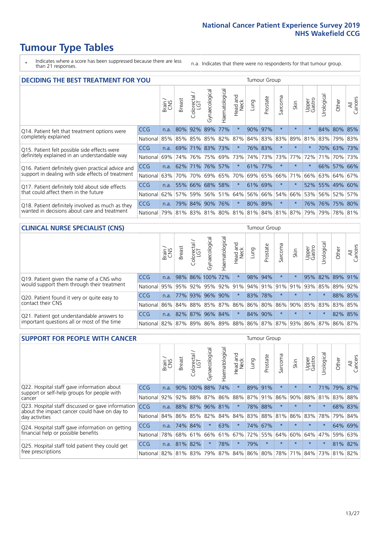- \* Indicates where a score has been suppressed because there are less than 21 responses.
- n.a. Indicates that there were no respondents for that tumour group.

| <b>DECIDING THE BEST TREATMENT FOR YOU</b>         |            |       |               |                             |                |                |                  |      | <b>Tumour Group</b> |                                     |         |                 |            |             |                |
|----------------------------------------------------|------------|-------|---------------|-----------------------------|----------------|----------------|------------------|------|---------------------|-------------------------------------|---------|-----------------|------------|-------------|----------------|
|                                                    |            | Brain | <b>Breast</b> | blorectal.<br>LGT<br>$\cup$ | Gynaecological | Haematological | Head and<br>Neck | Lung | Prostate            | Sarcoma                             | Skin    | Upper<br>Gastro | Jrological | Other       | All<br>Cancers |
| Q14. Patient felt that treatment options were      | CCG        | n.a.  | 80%           | 92%                         | 89%            | 77%            | $\star$          | 90%  | 97%                 | $\star$                             | $\star$ | $\star$         |            | 84% 80%     | 85%            |
| completely explained                               | National   | 85%   | 85% 85%       |                             |                | 85% 82%        | 87%              |      | 84% 83%             | 83%                                 | 89%     | 81%             |            | 83% 79% 83% |                |
| Q15. Patient felt possible side effects were       | <b>CCG</b> | n.a.  | 69%           | 71%                         | 83%            | 73%            | $\star$          |      | 76% 83%             | $\star$                             |         | $\star$         |            | 70% 63%     | 173%           |
| definitely explained in an understandable way      | National   | 69%   | 74%           | 76%                         | 75%            | 69%            | 73%              |      | 74% 73%             | 73%                                 | 77%     | 72%             | 71%        | 70% 73%     |                |
| Q16. Patient definitely given practical advice and | <b>CCG</b> | n.a.  | 62%           | 71%                         | 76%            | 57%            | $\star$          |      | 61% 77%             | $^\star$                            |         | $\star$         |            | 66% 57% 66% |                |
| support in dealing with side effects of treatment  | National   | 63%   | 70%           | 70%                         |                | 69% 65%        | 70%              |      | 69% 65%             | 66%                                 | 71%     | 66%             |            | 63% 64%     | 67%            |
| Q17. Patient definitely told about side effects    | <b>CCG</b> | n.a.  | 55%           | 66%                         | 68%            | 58%            | $\star$          |      | 61% 69%             | $\ast$                              |         | 52%             |            | 55% 49%     | 60%            |
| that could affect them in the future               | National   | 62%   | 57%           | 59%                         |                | 56% 51%        | 64%              |      | 56% 66%             | 54%                                 | 66%     | 53%             |            | 56% 52%     | 57%            |
| Q18. Patient definitely involved as much as they   | CCG        | n.a.  | 79%           | 84% 90% 76%                 |                |                | $\star$          |      | 80% 89%             | $\ast$                              | $\star$ | 76%             |            | 76% 75% 80% |                |
| wanted in decisions about care and treatment       | National I | 79%   |               |                             |                |                |                  |      |                     | 81% 83% 81% 80% 81% 81% 84% 81% 87% |         | 79%             |            | 79% 78% 81% |                |

#### **CLINICAL NURSE SPECIALIST (CNS)** Tumour Group

|                                             |            | Brain | <b>Breast</b> | olorectal<br>LGT<br>Ü | aecologica<br>Š         | $\overline{\sigma}$<br>Ü<br>Haematologi | Head and<br>Neck | Lung    | Prostate | Sarcoma | Skin                | Upper<br>Gastro | $\sigma$<br>rologica                                                        | Other | All<br>ancers<br>Ü |
|---------------------------------------------|------------|-------|---------------|-----------------------|-------------------------|-----------------------------------------|------------------|---------|----------|---------|---------------------|-----------------|-----------------------------------------------------------------------------|-------|--------------------|
| Q19. Patient given the name of a CNS who    | CCG        | n.a.  |               |                       | 98% 86% 100% 72%        |                                         | $\star$          | 98% 94% |          | $\ast$  |                     | 95%             | 82% 89%                                                                     |       | 91%                |
| would support them through their treatment  | National   |       |               |                       | 95% 95% 92% 95% 92% 91% |                                         |                  |         |          |         | 94% 91% 91% 91% 93% |                 | 85%                                                                         | 89%   | 92%                |
| Q20. Patient found it very or quite easy to | <b>CCG</b> |       |               |                       | n.a. 77% 93% 96%        | 90%                                     | $\star$          | 83% 78% |          | $\star$ | $\star$             | $\star$         |                                                                             |       | 88% 85%            |
| contact their CNS                           | National   |       |               |                       | 86% 84% 88% 85%         |                                         | 87% 86% 86% 80%  |         |          |         | 86% 90% 85% 83%     |                 |                                                                             | 83%   | 85%                |
| Q21. Patient got understandable answers to  | CCG        | n.a.  |               |                       | 82% 87% 96%             | 84%                                     | $\star$          | 84% 90% |          |         | $\star$             | $\star$         |                                                                             |       | 82% 85%            |
| important questions all or most of the time | National   |       |               |                       |                         |                                         |                  |         |          |         |                     |                 | 82%   87%   89%   86%   89%   88%   86%   87%   87%   93%   86%   87%   86% |       | 87%                |

| <b>SUPPORT FOR PEOPLE WITH CANCER</b>                                                             |            |             |               |              |                |                |                         |      | <b>Tumour Group</b> |         |         |                 |            |       |                |
|---------------------------------------------------------------------------------------------------|------------|-------------|---------------|--------------|----------------|----------------|-------------------------|------|---------------------|---------|---------|-----------------|------------|-------|----------------|
|                                                                                                   |            | Brain       | <b>Breast</b> | Colorectal   | Gynaecological | Haematological | ead and<br>Neck<br>Head | Lung | Prostate            | Sarcoma | Skin    | Upper<br>Gastro | Irological | Other | All<br>Cancers |
| Q22. Hospital staff gave information about<br>support or self-help groups for people with         | CCG        | n.a.        |               | 90% 100% 88% |                | 74%            | $\star$                 | 89%  | 91%                 | $\star$ | $\star$ | $\star$         | 71%        | 79%   | 87%            |
| cancer                                                                                            | National   | 92%         | 92%           | 88% 87%      |                | 86%            | 88%                     |      | 87% 91%             | 86%     | 90%     | 88%             | 81%        | 83%   | 88%            |
| Q23. Hospital staff discussed or gave information<br>about the impact cancer could have on day to | <b>CCG</b> | n.a.        |               | 88% 87%      | 96%            | 81%            | $\star$                 | 78%  | 88%                 | $\star$ | $\star$ | $\star$         | $\star$    |       | 68% 83%        |
| day activities                                                                                    | National   | 84%         |               | 86% 85%      | 82%            | 84%            | 84%                     |      | 83% 88%             | 81%     | 86%     | 83%             | 78%        | 79%   | 84%            |
| Q24. Hospital staff gave information on getting                                                   | CCG        | n.a.        |               | 74% 84%      | $\star$        | 63%            | $\star$                 |      | 74% 67%             | $\star$ | $\star$ | $\star$         | $\star$    |       | 64% 69%        |
| financial help or possible benefits                                                               | National   | 78%         |               | 68% 61%      | 66%            |                | 61% 67%                 |      | 72% 55%             | 64%     | 60%     |                 | 64% 47%    | 59%   | 63%            |
| Q25. Hospital staff told patient they could get                                                   | <b>CCG</b> | n.a.        | 81% 82%       |              | $\star$        | 78%            | $\ast$                  | 79%  | $\star$             | $\star$ | $\star$ | $\star$         | $\star$    |       | 81% 82%        |
| free prescriptions                                                                                | National I | 82% 81% 83% |               |              | 79%            |                | 87% 84% 86% 80%         |      |                     |         | 78% 71% | 84%             | 73%        | 81%   | 82%            |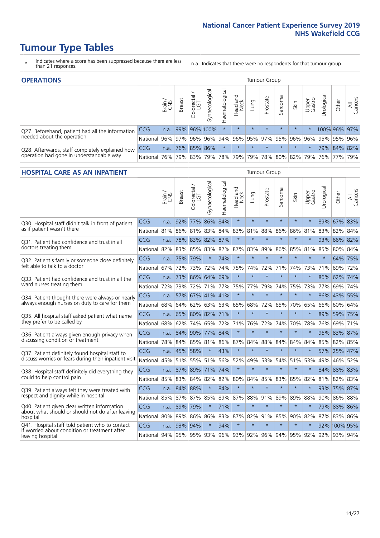- \* Indicates where a score has been suppressed because there are less than 21 responses.
- n.a. Indicates that there were no respondents for that tumour group.

| <b>OPERATIONS</b>                                |                                                  |              |               |            |                     |                    |                  |         | Tumour Group                |         |         |                 |                                  |              |                |
|--------------------------------------------------|--------------------------------------------------|--------------|---------------|------------|---------------------|--------------------|------------------|---------|-----------------------------|---------|---------|-----------------|----------------------------------|--------------|----------------|
|                                                  |                                                  | Brain<br>CNS | <b>Breast</b> | Colorectal | Gynaecological      | శ్ర<br>Haematologi | Head and<br>Neck | Lung    | Prostate                    | Sarcoma | Skin    | Upper<br>Gastro | $\overline{\sigma}$<br>Jrologica | Other        | All<br>Cancers |
| Q27. Beforehand, patient had all the information | <b>CCG</b>                                       | n.a.         |               |            | 99% 96% 100%        |                    | $\star$          | $\star$ | $\star$                     | $\star$ | $\star$ |                 |                                  | 100% 96% 97% |                |
| needed about the operation                       | National 96% 97% 96% 96% 94% 96% 95% 97% 95% 96% |              |               |            |                     |                    |                  |         |                             |         |         | $ 96\% $        |                                  | 95% 95% 96%  |                |
| Q28. Afterwards, staff completely explained how  | <b>CCG</b>                                       | n.a.         |               |            | 76% 85% 86%         |                    | $\star$          | $\star$ | $\star$                     | $\star$ | $\star$ | $\star$         |                                  | 79% 84% 82%  |                |
| operation had gone in understandable way         | National 76%                                     |              |               |            | 79% 83% 79% 78% 79% |                    |                  |         | 79%   78%   80%   82%   79% |         |         |                 |                                  | 76% 77% 79%  |                |

#### **HOSPITAL CARE AS AN INPATIENT** Tumour Group

|                                                                                                   |            | Brain | Breast               | $\frac{1}{2}$ Colorectal / | Gynaecological  | Haematological | Head and<br>Neck | Lung    | Prostate | Sarcoma | Skin    | Upper<br>Gastro                                         | Urological | Other        | Cancers<br>$\overline{\overline{z}}$ |
|---------------------------------------------------------------------------------------------------|------------|-------|----------------------|----------------------------|-----------------|----------------|------------------|---------|----------|---------|---------|---------------------------------------------------------|------------|--------------|--------------------------------------|
| Q30. Hospital staff didn't talk in front of patient                                               | CCG        | n.a.  | 92%                  | 77%                        | 86%             | 84%            | $\star$          | $\star$ | $\star$  | $\star$ | $\star$ | $\star$                                                 |            | 89% 67% 83%  |                                      |
| as if patient wasn't there                                                                        | National   | 81%   | 86%                  | 81%                        | 83%             | 84%            | 83%              | 81%     | 88%      | 86%     | 86%     | 81%                                                     | 83%        | 82%          | 84%                                  |
| O31. Patient had confidence and trust in all                                                      | CCG        | n.a.  |                      |                            | 78% 83% 82% 87% |                | $\star$          | $\star$ | $\star$  | $\star$ | $\star$ |                                                         |            | 93% 66% 82%  |                                      |
| doctors treating them                                                                             | National   | 82%   | 83%                  | 85%                        | 83%             | 82%            |                  | 87% 83% | 89%      | 86%     | 85%     | 81%                                                     | 85%        | 80%          | 84%                                  |
| Q32. Patient's family or someone close definitely                                                 | CCG        | n.a.  | 75% 79%              |                            |                 | 74%            | $\star$          | $\star$ | $\star$  | $\star$ | $\star$ | $\star$                                                 | $\star$    | 64% 75%      |                                      |
| felt able to talk to a doctor                                                                     | National   | 67%   | 72%                  | 73%                        | 72%             | 74%            | 75%              | 74%     | 72%      | 71%     | 74%     | 73%                                                     | 71%        | 69%          | 72%                                  |
| Q33. Patient had confidence and trust in all the<br>ward nurses treating them                     | CCG        | n.a.  |                      |                            | 73% 86% 64% 69% |                | $\star$          | $\star$ | $\star$  | $\star$ | $\star$ |                                                         |            | 86% 62%      | 74%                                  |
|                                                                                                   | National   | 72%   | 73%                  | 72%                        |                 | 71% 77%        | 75%              | 77%     | 79%      | 74%     | 75%     | 73%                                                     | 77%        | 69%          | 74%                                  |
| Q34. Patient thought there were always or nearly<br>always enough nurses on duty to care for them | CCG        | n.a.  |                      |                            | 57% 67% 41% 41% |                | $\star$          | $\star$ | $\star$  | $\star$ | $\star$ | $\star$                                                 |            | 86% 43%      | 55%                                  |
|                                                                                                   | National   | 68%   | 64%                  | 62%                        |                 | 63% 63%        |                  | 65% 68% | 72%      | 65%     |         | 70% 65%                                                 | 66%        | 60% 64%      |                                      |
| Q35. All hospital staff asked patient what name<br>they prefer to be called by                    | CCG        | n.a.  |                      |                            | 65% 80% 82% 71% |                | $\star$          | $\star$ | $\star$  | $\star$ | $\star$ | $\star$                                                 |            | 89% 59% 75%  |                                      |
|                                                                                                   | National   | 68%   | 62%                  | 74%                        |                 | 65% 72%        | 71%              | 76%     | 72%      | 74%     | 70%     | 78%                                                     | 76%        | 69%          | 71%                                  |
| Q36. Patient always given enough privacy when                                                     | <b>CCG</b> | n.a.  | 84%                  | 90%                        | 77% 84%         |                | $\star$          | $\star$ | $\star$  | $\star$ | $\star$ |                                                         |            | 96% 83% 87%  |                                      |
| discussing condition or treatment                                                                 | National   | 78%   |                      | 84% 85%                    | 81%             | 86%            |                  | 87% 84% | 88%      | 84%     | 84%     | 84%                                                     | 85%        | 82% 85%      |                                      |
| Q37. Patient definitely found hospital staff to                                                   | <b>CCG</b> | n.a.  | 45% 58%              |                            |                 | 43%            | $\star$          | $\star$ | $\star$  | $\star$ | $\star$ | $\star$                                                 |            | 57% 25% 47%  |                                      |
| discuss worries or fears during their inpatient visit                                             | National   | 45%   |                      | 51% 55%                    |                 | 51% 56%        | 52%              | 49%     | 53%      | 54%     | 51%     | 53%                                                     | 49%        | 46%          | 52%                                  |
| Q38. Hospital staff definitely did everything they                                                | CCG        |       | n.a. 87% 89% 71% 74% |                            |                 |                | $\star$          | $\star$ | $\star$  | $\star$ | $\star$ |                                                         |            | 84% 88% 83%  |                                      |
| could to help control pain                                                                        | National   | 85%   | 83%                  | 84%                        | 82%             | 82%            |                  | 80% 84% | 85%      | 83%     | 85% 82% |                                                         |            | 81% 82% 83%  |                                      |
| Q39. Patient always felt they were treated with                                                   | CCG        | n.a.  | 84% 88%              |                            | $\star$         | 84%            | $\star$          | $\star$ | $\star$  | $\star$ | $\star$ |                                                         |            | 93% 75%      | 87%                                  |
| respect and dignity while in hospital                                                             | National   | 85%   | 87%                  | 87%                        | 85%             | 89%            | 87%              | 88%     | 91%      | 89%     | 89%     | 88%                                                     | 90%        | 86%          | 88%                                  |
| Q40. Patient given clear written information<br>about what should or should not do after leaving  | <b>CCG</b> | n.a.  | 89% 79%              |                            |                 | 71%            | $\star$          | $\star$ | $\star$  | $\star$ | $\star$ |                                                         |            | 79% 88% 86%  |                                      |
| hospital                                                                                          | National   | 80%   | 89%                  | 86%                        | 86%             | 83%            |                  | 87% 82% | 91%      | 85%     | 90%     | 82%                                                     | 87%        | 83% 86%      |                                      |
| Q41. Hospital staff told patient who to contact<br>if worried about condition or treatment after  | CCG        | n.a.  | 93% 94%              |                            | $\star$         | 94%            | $\star$          | $\star$ | $\star$  | $\star$ | $\star$ | $\star$                                                 |            | 92% 100% 95% |                                      |
| leaving hospital                                                                                  | National   |       |                      |                            |                 |                |                  |         |          |         |         | 94% 95% 95% 93% 96% 93% 92% 96% 94% 95% 92% 92% 93% 94% |            |              |                                      |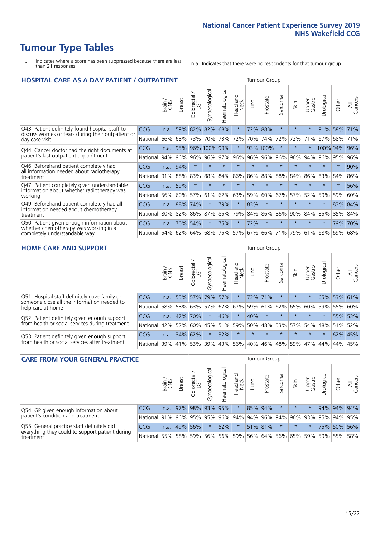- \* Indicates where a score has been suppressed because there are less than 21 responses.
- n.a. Indicates that there were no respondents for that tumour group.

| <b>HOSPITAL CARE AS A DAY PATIENT / OUTPATIENT</b>                                                                    |            |       |               |                       |                |                |                                |         | <b>Tumour Group</b> |         |         |                 |            |         |                |  |  |
|-----------------------------------------------------------------------------------------------------------------------|------------|-------|---------------|-----------------------|----------------|----------------|--------------------------------|---------|---------------------|---------|---------|-----------------|------------|---------|----------------|--|--|
|                                                                                                                       |            | Brain | <b>Breast</b> | olorectal<br>LGT<br>Ũ | Gynaecological | Haematological | <b>Bad and</b><br>Neck<br>Head | Lung    | Prostate            | Sarcoma | Skin    | Upper<br>Gastro | Urological | Other   | All<br>Cancers |  |  |
| Q43. Patient definitely found hospital staff to                                                                       | CCG        | n.a.  | 59%           | 82%                   | 82%            | 68%            | $\star$                        | 72%     | 88%                 | $\star$ | $\star$ | $\star$         | 91%        | 58%     | 71%            |  |  |
| discuss worries or fears during their outpatient or<br>day case visit                                                 | National   | 66%   | 68%           | 73%                   | 70%            | 73%            | 72%                            | 70%     | 74%                 | 72%     | 72%     | 71%             | 67%        | 68%     | 71%            |  |  |
| Q44. Cancer doctor had the right documents at<br>patient's last outpatient appointment                                | <b>CCG</b> | n.a.  | 95%           |                       | 96% 100% 99%   |                | $\star$                        |         | 93% 100%            | $\star$ |         |                 | 100% 94%   |         | 96%            |  |  |
|                                                                                                                       | National   | 94%   | 96%           | 96%                   | 96%            | 97%            | 96%                            | 96%     | 96%                 | 96%     | 96%     | 94%             | 96%        | 95%     | 96%            |  |  |
| Q46. Beforehand patient completely had                                                                                | CCG        | n.a.  | 94%           | $\star$               | $\star$        | $\star$        | $\star$                        | $\star$ | $\star$             | $\star$ |         | $\star$         | $\star$    | $\star$ | 90%            |  |  |
| all information needed about radiotherapy<br>treatment                                                                | National   | 91%   | 88%           | 83%                   | 88%            | 84%            | 86%                            | 86%     | 88%                 | 88%     | 84%     | 86%             | 83%        | 84%     | 86%            |  |  |
| Q47. Patient completely given understandable                                                                          | CCG        | n.a.  | 59%           | $\star$               | $\star$        |                | $\star$                        | $\star$ | $\star$             | $\star$ |         | $\star$         | $\star$    | $\star$ | 56%            |  |  |
| information about whether radiotherapy was<br>working                                                                 | National   | 56%   | 60%           | 57%                   | 61%            | 62%            | 63%                            | 59%     | 60%                 | 67%     | 57%     | 52%             | 59%        | 59%     | 60%            |  |  |
| Q49. Beforehand patient completely had all                                                                            | CCG        | n.a.  | 88%           | 74%                   |                | 79%            | $\star$                        | 83%     | $\star$             | $\star$ | $\star$ | $\star$         | $\star$    | 83%     | 84%            |  |  |
| information needed about chemotherapy<br>treatment                                                                    | National   | 80%   | 82%           | 86%                   | 87%            | 85%            | 79%                            | 84%     | 86%                 | 86%     | 90%     | 84%             | 85%        | 85%     | 84%            |  |  |
| Q50. Patient given enough information about<br>whether chemotherapy was working in a<br>completely understandable way | <b>CCG</b> | n.a.  | 70%           | 54%                   | $^\star$       | 75%            | $\star$                        | 72%     | $\star$             | $\star$ | $\star$ | $\star$         | $\star$    | 79%     | 70%            |  |  |
|                                                                                                                       | National   | 54%   | 62%           | 64%                   | 68%            | 75%            |                                | 57% 67% | 66%                 | 71%     | 79%     | 61%             | 68%        | 69%     | 68%            |  |  |

#### **HOME CARE AND SUPPORT** Tumour Group

|                                                                                                                   |            | Brain | <b>Breast</b> | Colorectal<br>LGT | $\sigma$<br>Gynaecologic | Haematological | Head and<br>Neck | <b>Lung</b> | Prostate | Sarcoma | Skin    | Upper<br>Gastro | Urological | Other       | All<br>Cancers |
|-------------------------------------------------------------------------------------------------------------------|------------|-------|---------------|-------------------|--------------------------|----------------|------------------|-------------|----------|---------|---------|-----------------|------------|-------------|----------------|
| Q51. Hospital staff definitely gave family or<br>someone close all the information needed to<br>help care at home | <b>CCG</b> | n.a.  |               | 55% 57%           | 79%                      | 57%            | $\star$          |             | 73% 71%  |         | $\star$ | $\star$         |            | 65% 53% 61% |                |
|                                                                                                                   | National   | 58%   |               | 58% 63%           | 57%                      |                | 62% 67% 59%      |             | 61%      | 62%     | 65%     | 60%             | 59%        | 55% 60%     |                |
| Q52. Patient definitely given enough support<br>from health or social services during treatment                   | <b>CCG</b> | n.a.  |               | 47% 70%           | $\star$                  | 46%            | $\star$          | 40%         | $\star$  | $\star$ | $\star$ | $\star$         | $\star$    | 55% 53%     |                |
|                                                                                                                   | National   | 42%   | 52%           | 60%               |                          |                | 45% 51% 59% 50%  |             | 48%      |         | 53% 57% |                 | 54% 48%    | 51%         | 52%            |
| Q53. Patient definitely given enough support<br>from health or social services after treatment                    | <b>CCG</b> | n.a.  |               | 34% 62%           | $\star$                  | 32%            | $\star$          | $\star$     | $\star$  | $\star$ | $\star$ | $\star$         | $\star$    | 62% 45%     |                |
|                                                                                                                   | National   | 39%   |               | 41% 53%           | 39%                      | $ 43\% $       |                  | 56% 40%     | 46%      | 48%     | 59%     | 47%             | 44%        | 44%         | 45%            |

| <b>CARE FROM YOUR GENERAL PRACTICE</b>                                                                     |              |        |               |                        |                                                         | <b>Tumour Group</b> |                  |      |          |         |                                         |                 |                       |             |                |
|------------------------------------------------------------------------------------------------------------|--------------|--------|---------------|------------------------|---------------------------------------------------------|---------------------|------------------|------|----------|---------|-----------------------------------------|-----------------|-----------------------|-------------|----------------|
|                                                                                                            |              | Brain, | <b>Breast</b> | ╮<br>Colorectal<br>LGT | Gynaecologica                                           | Haematological      | Head and<br>Neck | Lung | Prostate | Sarcoma | Skin                                    | Upper<br>Gastro | $\sigma$<br>Urologica | Other       | All<br>Cancers |
| Q54. GP given enough information about<br>patient's condition and treatment                                | CCG          | n.a.   |               |                        | 97% 98% 93% 95%                                         |                     | $\ast$           |      | 85% 94%  |         | $\star$                                 | $\star$         |                       | 94% 94% 94% |                |
|                                                                                                            | National 91% |        |               |                        | 96% 95% 95% 96% 94% 94% 96% 94% 96% 93% 93% 95% 94% 95% |                     |                  |      |          |         |                                         |                 |                       |             |                |
| Q55. General practice staff definitely did<br>everything they could to support patient during<br>treatment | <b>CCG</b>   | n.a.   |               | 49% 56%                |                                                         | 52%                 | $\star$          |      | 51% 81%  | $\star$ | $\star$                                 |                 |                       | 75% 50%     | 56%            |
|                                                                                                            | National 55% |        |               | 58% 59%                | 56%                                                     |                     |                  |      |          |         | 56%   59%   56%   64%   56%   65%   59% |                 |                       | 59% 55%     | 58%            |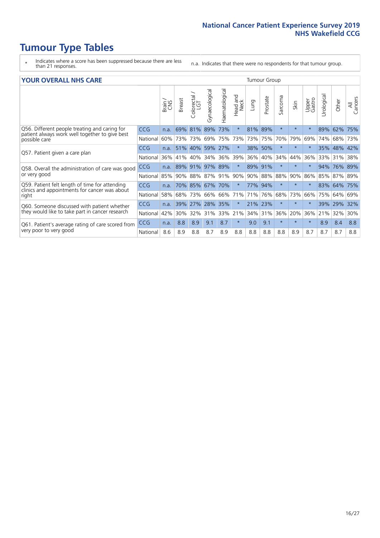- \* Indicates where a score has been suppressed because there are less than 21 responses.
- n.a. Indicates that there were no respondents for that tumour group.

#### **YOUR OVERALL NHS CARE** THE CONSTRUCTION OF THE THROUP GROUP TUMOUR GROUP

| TUUN UVEIVALE NI 19 JANE                                                                                         |            |       |               |                        |                |                | iumvui vivup     |         |             |                      |          |                 |                 |         |                |
|------------------------------------------------------------------------------------------------------------------|------------|-------|---------------|------------------------|----------------|----------------|------------------|---------|-------------|----------------------|----------|-----------------|-----------------|---------|----------------|
|                                                                                                                  |            | Brain | <b>Breast</b> | olorectal.<br>LGT<br>Û | Gynaecological | Haematological | Head and<br>Neck | Lung    | Prostate    | arcoma<br>$\sqrt{2}$ | Skin     | Upper<br>Gastro | ন্ত<br>Urologic | Other   | All<br>Cancers |
| Q56. Different people treating and caring for<br>patient always work well together to give best<br>possible care | <b>CCG</b> | n.a.  | 69%           | 81%                    | 89%            | 73%            | $\star$          | 81%     | 89%         | $\star$              | $\star$  | $\star$         | 89%             | 62%     | 75%            |
|                                                                                                                  | National   | 60%   |               | 73% 73%                | 69%            | 75%            | 73%              | 73%     | 75%         | 70%                  | 79%      | 69%             | 74%             | 68%     | 73%            |
| Q57. Patient given a care plan                                                                                   | <b>CCG</b> | n.a.  | 51%           | 40%                    | 59%            | 27%            | $\star$          | 38% 50% |             | $\star$              | $\star$  | $\star$         | 35%             | 48% 42% |                |
|                                                                                                                  | National   | 36%   | 41%           | 40%                    | 34%            | 36%            | 39%              | 36%     | 40%         | 34%                  | 44%      | 36%             | 33%             | 31%     | 38%            |
| Q58. Overall the administration of care was good                                                                 | <b>CCG</b> | n.a.  | 89%           | $ 91\%$                | 97% 89%        |                | $\star$          | 89% 91% |             | $\star$              | $^\star$ |                 | 94%             | 76% 89% |                |
| or very good                                                                                                     | National   | 85%   |               | 90% 88%                | 87% 91%        |                | 90%              |         | 90% 88% 88% |                      | 90%      | 86%             | 85%             | 87% 89% |                |
| Q59. Patient felt length of time for attending<br>clinics and appointments for cancer was about                  | CCG        | n.a.  |               | 70% 85%                | 67%            | 70%            | $\star$          | 77% 94% |             | $\star$              | $\star$  | $\star$         | 83%             | 64% 75% |                |
| right                                                                                                            | National   | 58%   |               | 68% 73%                | 66%            | 66%            | 71%              | 71%     | 76%         | 68%                  | 73%      | 66%             | 75%             | 64%     | 69%            |
| Q60. Someone discussed with patient whether                                                                      | <b>CCG</b> | n.a.  | 39%           | 27%                    | 28% 35%        |                | $\star$          | 21% 23% |             | $\star$              | $\star$  |                 | 39%             | 29%     | 32%            |
| they would like to take part in cancer research                                                                  | National   | 42%   | $30\%$        | 32%                    | 31%            | 33%            | 21%              |         | 34% 31%     | 36%                  | 20%      | 36%             | 21%             | 32%     | 30%            |
| Q61. Patient's average rating of care scored from<br>very poor to very good                                      | CCG        | n.a.  | 8.8           | 8.9                    | 9.1            | 8.7            | $\star$          | 9.0     | 9.1         | $\star$              | $\star$  | $\star$         | 8.9             | 8.4     | 8.8            |
|                                                                                                                  | National   | 8.6   | 8.9           | 8.8                    | 8.7            | 8.9            | 8.8              | 8.8     | 8.8         | 8.8                  | 8.9      | 8.7             | 8.7             | 8.7     | 8.8            |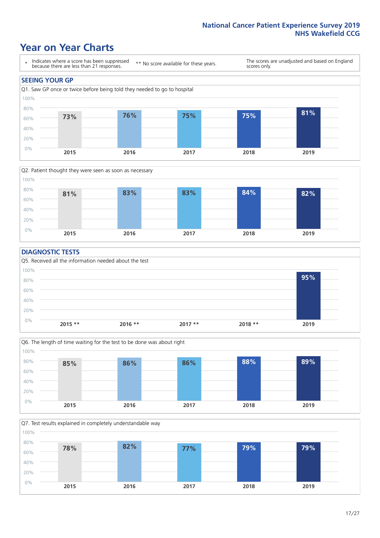### **Year on Year Charts**





#### **DIAGNOSTIC TESTS**





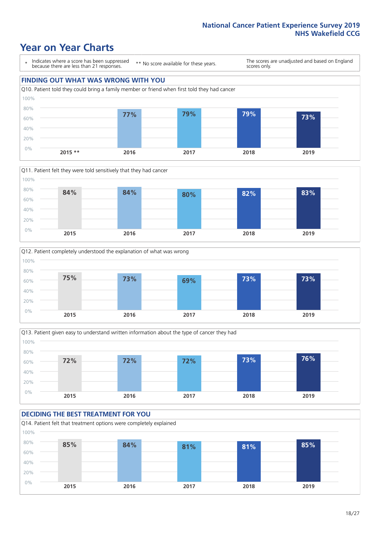### **Year on Year Charts**





**2015 \*\* 2016 2017 2018 2019**





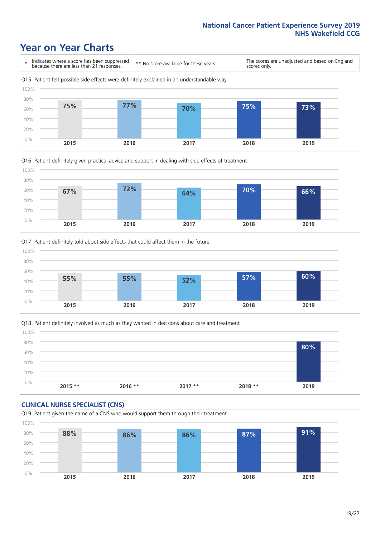### **Year on Year Charts**







Q18. Patient definitely involved as much as they wanted in decisions about care and treatment  $0%$ 20% 40% 60% 80% 100% **2015 \*\* 2016 \*\* 2017 \*\* 2018 \*\* 2019 80%**

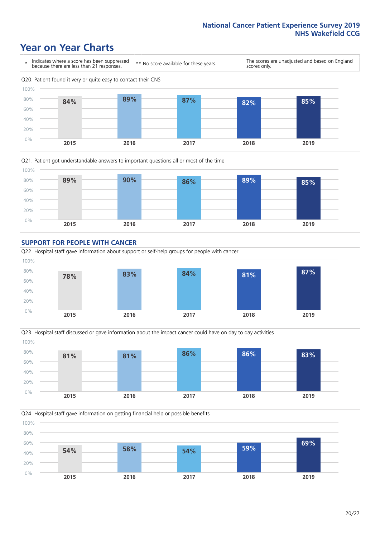### **Year on Year Charts**











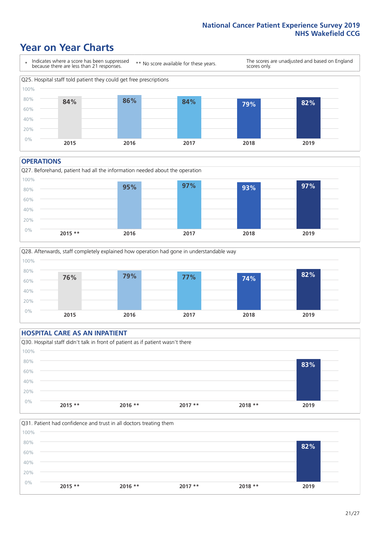### **Year on Year Charts**



#### **OPERATIONS**





#### **HOSPITAL CARE AS AN INPATIENT** Q30. Hospital staff didn't talk in front of patient as if patient wasn't there 0% 20% 40% 60% 80% 100% **2015 \*\* 2016 \*\* 2017 \*\* 2018 \*\* 2019 83%**

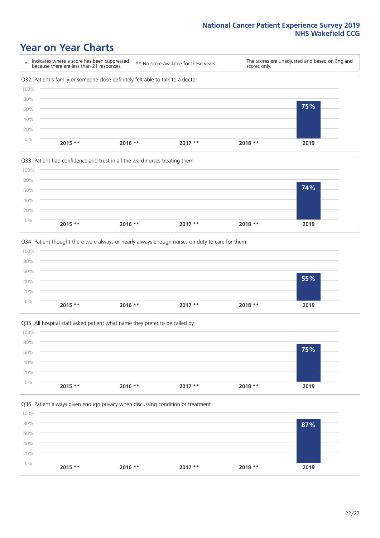### **Year on Year Charts**









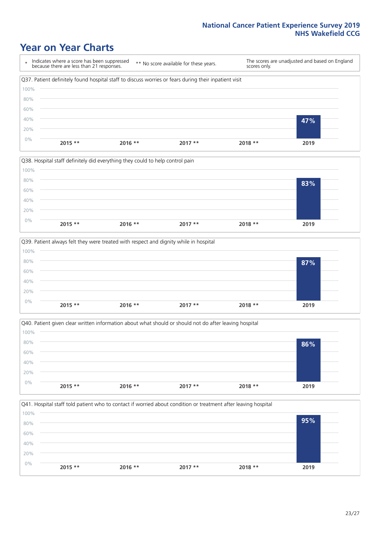### **Year on Year Charts**









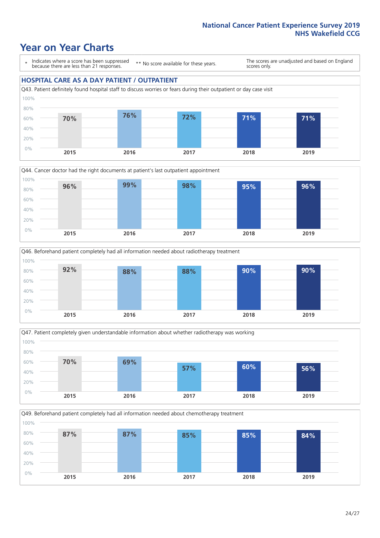### **Year on Year Charts**

\* Indicates where a score has been suppressed because there are less than 21 responses.

\*\* No score available for these years.

The scores are unadjusted and based on England scores only.

#### **HOSPITAL CARE AS A DAY PATIENT / OUTPATIENT**









Q49. Beforehand patient completely had all information needed about chemotherapy treatment 100%

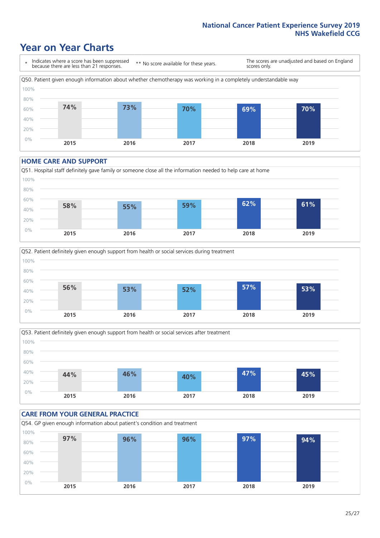### **Year on Year Charts**

\* Indicates where a score has been suppressed because there are less than 21 responses. \*\* No score available for these years. The scores are unadjusted and based on England scores only. Q50. Patient given enough information about whether chemotherapy was working in a completely understandable way 0% 20% 40% 60% 80% 100% **2015 2016 2017 2018 2019 74% 73% 70% 69% 70%**

#### **HOME CARE AND SUPPORT**







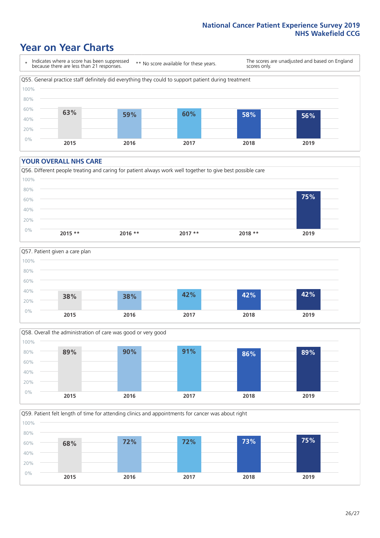### **Year on Year Charts**

\* Indicates where a score has been suppressed because there are less than 21 responses.

\*\* No score available for these years.

The scores are unadjusted and based on England scores only.



#### **YOUR OVERALL NHS CARE**







Q59. Patient felt length of time for attending clinics and appointments for cancer was about right